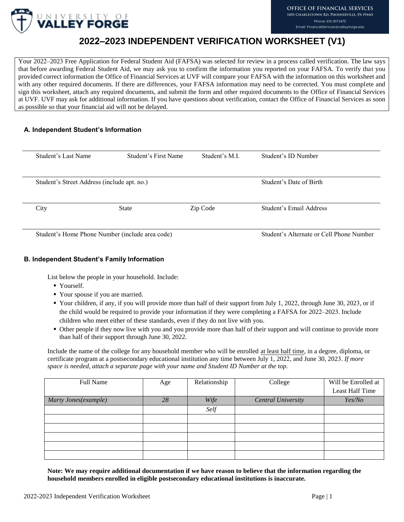

# **2022–2023 INDEPENDENT VERIFICATION WORKSHEET (V1)**

Your 2022–2023 Free Application for Federal Student Aid (FAFSA) was selected for review in a process called verification. The law says that before awarding Federal Student Aid, we may ask you to confirm the information you reported on your FAFSA. To verify that you provided correct information the Office of Financial Services at UVF will compare your FAFSA with the information on this worksheet and with any other required documents. If there are differences, your FAFSA information may need to be corrected. You must complete and sign this worksheet, attach any required documents, and submit the form and other required documents to the Office of Financial Services at UVF. UVF may ask for additional information. If you have questions about verification, contact the Office of Financial Services as soon as possible so that your financial aid will not be delayed.

# **A. Independent Student's Information**

| Student's Last Name | Student's First Name                            | Student's M.I.                           | Student's ID Number     |
|---------------------|-------------------------------------------------|------------------------------------------|-------------------------|
|                     |                                                 |                                          |                         |
|                     | Student's Street Address (include apt. no.)     | Student's Date of Birth                  |                         |
| City                | State                                           | Zip Code                                 | Student's Email Address |
|                     |                                                 |                                          |                         |
|                     | Student's Home Phone Number (include area code) | Student's Alternate or Cell Phone Number |                         |

# **B. Independent Student's Family Information**

List below the people in your household. Include:

- Yourself.
- Your spouse if you are married.
- Your children, if any, if you will provide more than half of their support from July 1, 2022, through June 30, 2023, or if the child would be required to provide your information if they were completing a FAFSA for 2022–2023. Include children who meet either of these standards, even if they do not live with you.
- Other people if they now live with you and you provide more than half of their support and will continue to provide more than half of their support through June 30, 2022.

Include the name of the college for any household member who will be enrolled at least half time, in a degree, diploma, or certificate program at a postsecondary educational institution any time between July 1, 2022, and June 30, 2023. *If more space is needed, attach a separate page with your name and Student ID Number at the top.* 

| Full Name            | Age | Relationship | College                   | Will be Enrolled at<br>Least Half Time |
|----------------------|-----|--------------|---------------------------|----------------------------------------|
| Marty Jones(example) | 28  | Wife         | <b>Central University</b> | Yes/No                                 |
|                      |     | Self         |                           |                                        |
|                      |     |              |                           |                                        |
|                      |     |              |                           |                                        |
|                      |     |              |                           |                                        |
|                      |     |              |                           |                                        |
|                      |     |              |                           |                                        |

**Note: We may require additional documentation if we have reason to believe that the information regarding the household members enrolled in eligible postsecondary educational institutions is inaccurate.**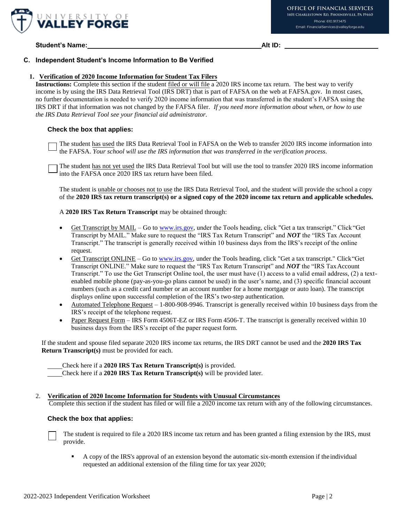

**Student's Name: Alt ID:** 

# **C. Independent Student's Income Information to Be Verified**

#### **1. Verification of 2020 Income Information for Student Tax Filers**

**Instructions:** Complete this section if the student filed or will file a 2020 IRS income tax return. The best way to verify income is by using the IRS Data Retrieval Tool (IRS DRT) that is part of FAFSA on the web at FAFSA.gov. In most cases, no further documentation is needed to verify 2020 income information that was transferred in the student's FAFSA using the IRS DRT if that information was not changed by the FAFSA filer. *If you need more information about when, or how to use the IRS Data Retrieval Tool see your financial aid administrator.*

#### **Check the box that applies:**

The student has used the IRS Data Retrieval Tool in FAFSA on the Web to transfer 2020 IRS income information into the FAFSA. *Your school will use the IRS information that was transferred in the verification process*.

The student has not yet used the IRS Data Retrieval Tool but will use the tool to transfer 2020 IRS income information into the FAFSA once 2020 IRS tax return have been filed.

The student is unable or chooses not to use the IRS Data Retrieval Tool, and the student will provide the school a copy of the **2020 IRS tax return transcript(s) or a signed copy of the 2020 income tax return and applicable schedules.**

A **2020 IRS Tax Return Transcript** may be obtained through:

- Get Transcript by MAIL Go to [www.irs.gov, u](http://www.irs.gov/)nder the Tools heading, click "Get a tax transcript." Click "Get Transcript by MAIL." Make sure to request the "IRS Tax Return Transcript" and *NOT* the "IRS Tax Account Transcript." The transcript is generally received within 10 business days from the IRS's receipt of the online request.
- Get Transcript ONLINE Go to [www.irs.gov, u](http://www.irs.gov/)nder the Tools heading, click "Get a tax transcript." Click"Get Transcript ONLINE." Make sure to request the "IRS Tax Return Transcript" and *NOT* the "IRS TaxAccount Transcript." To use the Get Transcript Online tool, the user must have (1) access to a valid email address, (2) a textenabled mobile phone (pay-as-you-go plans cannot be used) in the user's name, and (3) specific financial account numbers (such as a credit card number or an account number for a home mortgage or auto loan). The transcript displays online upon successful completion of the IRS's two-step authentication.
- Automated Telephone Request 1-800-908-9946. Transcript is generally received within 10 business days from the IRS's receipt of the telephone request.
- Paper Request Form IRS Form 4506T-EZ or IRS Form 4506-T. The transcript is generally received within 10 business days from the IRS's receipt of the paper request form.

If the student and spouse filed separate 2020 IRS income tax returns, the IRS DRT cannot be used and the **2020 IRS Tax Return Transcript(s)** must be provided for each.

Check here if a **2020 IRS Tax Return Transcript(s)** is provided.

Check here if a **2020 IRS Tax Return Transcript(s)** will be provided later.

2. **Verification of 2020 Income Information for Students with Unusual Circumstances**

Complete this section if the student has filed or will file a 2020 income tax return with any of the following circumstances.

#### **Check the box that applies:**

The student is required to file a 2020 IRS income tax return and has been granted a filing extension by the IRS, must provide.

 A copy of the IRS's approval of an extension beyond the automatic six-month extension if the individual requested an additional extension of the filing time for tax year 2020;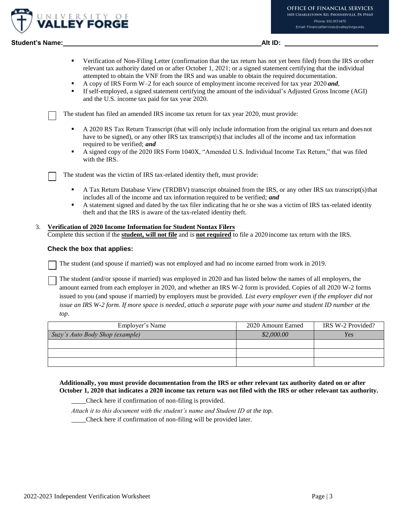

# **Student's Name: Alt ID:**

- Verification of Non-Filing Letter (confirmation that the tax return has not yet been filed) from the IRS or other relevant tax authority dated on or after October 1, 2021; or a signed statement certifying that the individual attempted to obtain the VNF from the IRS and was unable to obtain the required documentation.
- A copy of IRS Form W–2 for each source of employment income received for tax year 2020 *and*,
- If self-employed, a signed statement certifying the amount of the individual's Adjusted Gross Income (AGI) and the U.S. income tax paid for tax year 2020.

The student has filed an amended IRS income tax return for tax year 2020, must provide:

- A 2020 RS Tax Return Transcript (that will only include information from the original tax return and does not have to be signed), or any other IRS tax transcript(s) that includes all of the income and tax information required to be verified; *and*
- A signed copy of the 2020 IRS Form 1040X, "Amended U.S. Individual Income Tax Return," that was filed with the IRS.

The student was the victim of IRS tax-related identity theft, must provide:

- A Tax Return Database View (TRDBV) transcript obtained from the IRS, or any other IRS tax transcript(s)that includes all of the income and tax information required to be verified; *and*
- A statement signed and dated by the tax filer indicating that he or she was a victim of IRS tax-related identity theft and that the IRS is aware of the tax-related identity theft.

## 3. **Verification of 2020 Income Information for Student Nontax Filers**

Complete this section if the **student, will not file** and is **not required** to file a 2020income tax return with the IRS.

#### **Check the box that applies:**

The student (and spouse if married) was not employed and had no income earned from work in 2019.

The student (and/or spouse if married) was employed in 2020 and has listed below the names of all employers, the amount earned from each employer in 2020, and whether an IRS W-2 form is provided. Copies of all 2020 W-2 forms issued to you (and spouse if married) by employers must be provided. *List every employer even if the employer did not issue an IRS W-2 form. If more space is needed, attach a separate page with your name and student ID number at the top*.

| Employer's Name                 | 2020 Amount Earned | IRS W-2 Provided? |
|---------------------------------|--------------------|-------------------|
| Suzy's Auto Body Shop (example) | \$2,000.00         | Yes               |
|                                 |                    |                   |
|                                 |                    |                   |
|                                 |                    |                   |

**Additionally, you must provide documentation from the IRS or other relevant tax authority dated on or after October 1, 2020 that indicates a 2020 income tax return was not filed with the IRS or other relevant tax authority.**

Check here if confirmation of non-filing is provided.

*Attach it to this document with the student's name and Student ID at the top.* 

Check here if confirmation of non-filing will be provided later.